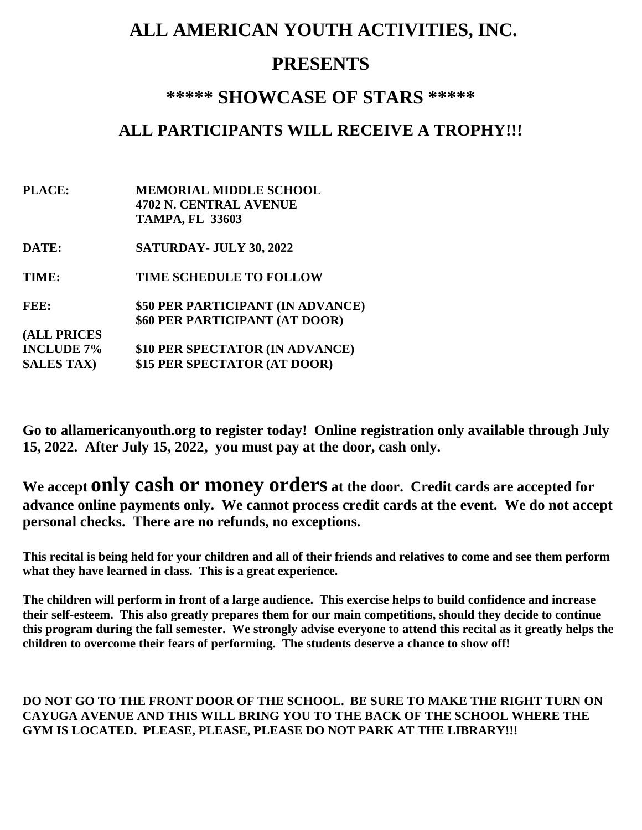# **ALL AMERICAN YOUTH ACTIVITIES, INC.**

## **PRESENTS**

### **\*\*\*\*\* SHOWCASE OF STARS \*\*\*\*\***

### **ALL PARTICIPANTS WILL RECEIVE A TROPHY!!!**

- **PLACE: MEMORIAL MIDDLE SCHOOL 4702 N. CENTRAL AVENUE TAMPA, FL 33603**
- **DATE: SATURDAY- JULY 30, 2022**

**TIME: TIME SCHEDULE TO FOLLOW**

**FEE: \$50 PER PARTICIPANT (IN ADVANCE) \$60 PER PARTICIPANT (AT DOOR) (ALL PRICES**

**INCLUDE 7% \$10 PER SPECTATOR (IN ADVANCE) SALES TAX) \$15 PER SPECTATOR (AT DOOR)**

**Go to allamericanyouth.org to register today! Online registration only available through July 15, 2022. After July 15, 2022, you must pay at the door, cash only.**

**We accept only cash or money orders at the door. Credit cards are accepted for advance online payments only. We cannot process credit cards at the event. We do not accept personal checks. There are no refunds, no exceptions.**

**This recital is being held for your children and all of their friends and relatives to come and see them perform what they have learned in class. This is a great experience.**

**The children will perform in front of a large audience. This exercise helps to build confidence and increase their self-esteem. This also greatly prepares them for our main competitions, should they decide to continue this program during the fall semester. We strongly advise everyone to attend this recital as it greatly helps the children to overcome their fears of performing. The students deserve a chance to show off!**

#### **DO NOT GO TO THE FRONT DOOR OF THE SCHOOL. BE SURE TO MAKE THE RIGHT TURN ON CAYUGA AVENUE AND THIS WILL BRING YOU TO THE BACK OF THE SCHOOL WHERE THE GYM IS LOCATED. PLEASE, PLEASE, PLEASE DO NOT PARK AT THE LIBRARY!!!**